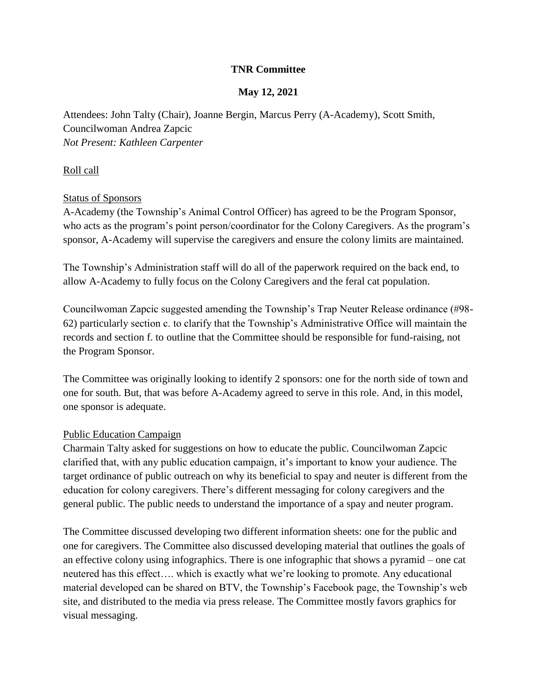# **TNR Committee**

## **May 12, 2021**

Attendees: John Talty (Chair), Joanne Bergin, Marcus Perry (A-Academy), Scott Smith, Councilwoman Andrea Zapcic *Not Present: Kathleen Carpenter*

#### Roll call

#### Status of Sponsors

A-Academy (the Township's Animal Control Officer) has agreed to be the Program Sponsor, who acts as the program's point person/coordinator for the Colony Caregivers. As the program's sponsor, A-Academy will supervise the caregivers and ensure the colony limits are maintained.

The Township's Administration staff will do all of the paperwork required on the back end, to allow A-Academy to fully focus on the Colony Caregivers and the feral cat population.

Councilwoman Zapcic suggested amending the Township's Trap Neuter Release ordinance (#98- 62) particularly section c. to clarify that the Township's Administrative Office will maintain the records and section f. to outline that the Committee should be responsible for fund-raising, not the Program Sponsor.

The Committee was originally looking to identify 2 sponsors: one for the north side of town and one for south. But, that was before A-Academy agreed to serve in this role. And, in this model, one sponsor is adequate.

#### Public Education Campaign

Charmain Talty asked for suggestions on how to educate the public. Councilwoman Zapcic clarified that, with any public education campaign, it's important to know your audience. The target ordinance of public outreach on why its beneficial to spay and neuter is different from the education for colony caregivers. There's different messaging for colony caregivers and the general public. The public needs to understand the importance of a spay and neuter program.

The Committee discussed developing two different information sheets: one for the public and one for caregivers. The Committee also discussed developing material that outlines the goals of an effective colony using infographics. There is one infographic that shows a pyramid – one cat neutered has this effect…. which is exactly what we're looking to promote. Any educational material developed can be shared on BTV, the Township's Facebook page, the Township's web site, and distributed to the media via press release. The Committee mostly favors graphics for visual messaging.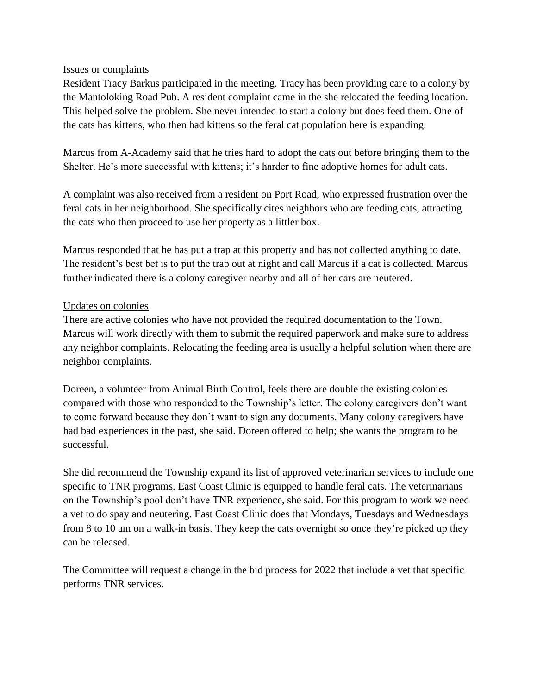### Issues or complaints

Resident Tracy Barkus participated in the meeting. Tracy has been providing care to a colony by the Mantoloking Road Pub. A resident complaint came in the she relocated the feeding location. This helped solve the problem. She never intended to start a colony but does feed them. One of the cats has kittens, who then had kittens so the feral cat population here is expanding.

Marcus from A-Academy said that he tries hard to adopt the cats out before bringing them to the Shelter. He's more successful with kittens; it's harder to fine adoptive homes for adult cats.

A complaint was also received from a resident on Port Road, who expressed frustration over the feral cats in her neighborhood. She specifically cites neighbors who are feeding cats, attracting the cats who then proceed to use her property as a littler box.

Marcus responded that he has put a trap at this property and has not collected anything to date. The resident's best bet is to put the trap out at night and call Marcus if a cat is collected. Marcus further indicated there is a colony caregiver nearby and all of her cars are neutered.

### Updates on colonies

There are active colonies who have not provided the required documentation to the Town. Marcus will work directly with them to submit the required paperwork and make sure to address any neighbor complaints. Relocating the feeding area is usually a helpful solution when there are neighbor complaints.

Doreen, a volunteer from Animal Birth Control, feels there are double the existing colonies compared with those who responded to the Township's letter. The colony caregivers don't want to come forward because they don't want to sign any documents. Many colony caregivers have had bad experiences in the past, she said. Doreen offered to help; she wants the program to be successful.

She did recommend the Township expand its list of approved veterinarian services to include one specific to TNR programs. East Coast Clinic is equipped to handle feral cats. The veterinarians on the Township's pool don't have TNR experience, she said. For this program to work we need a vet to do spay and neutering. East Coast Clinic does that Mondays, Tuesdays and Wednesdays from 8 to 10 am on a walk-in basis. They keep the cats overnight so once they're picked up they can be released.

The Committee will request a change in the bid process for 2022 that include a vet that specific performs TNR services.